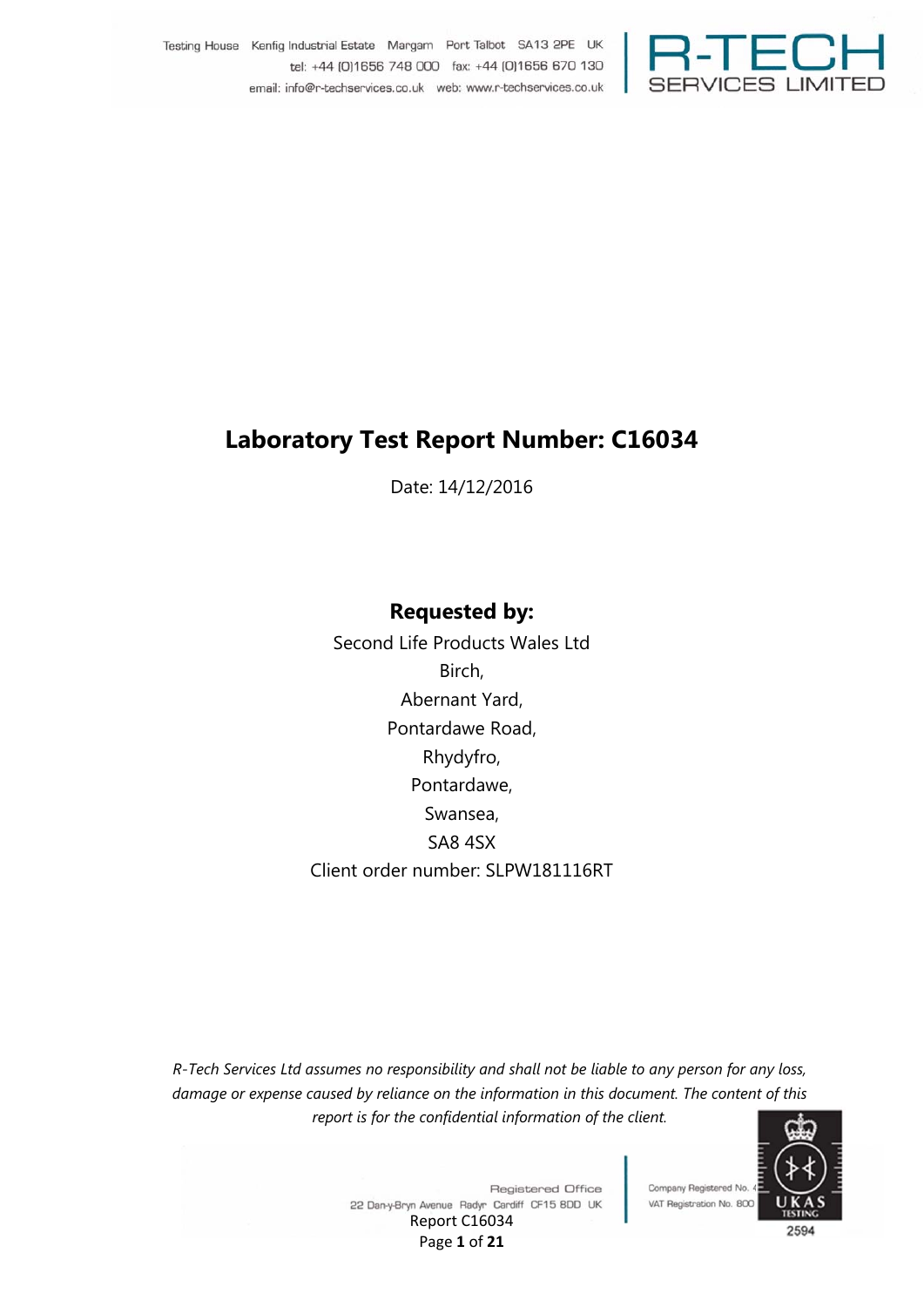

Testing House Kenfig Industrial Estate Margam Port Talbot SA13 2PE UK tel: +44 [0]1656 748 000 fax: +44 [0]1656 670 130 email: info@r-techservices.co.uk web: www.r-techservices.co.uk

# **Laboratory Test Report Number: C16034**

Date: 14/12/2016

### **Requested by:**

Second Life Products Wales Ltd Birch, Abernant Yard, Pontardawe Road, Rhydyfro, Pontardawe, Swansea, SA8 4SX Client order number: SLPW181116RT

*R-Tech Services Ltd assumes no responsibility and shall not be liable to any person for any loss, damage or expense caused by reliance on the information in this document. The content of this report is for the confidential information of the client.*



**Registered Office** 22 Dan-y-Bryn Avenue Radyr Cardiff CF15 8DD UK Report C16034 Page **1** of **21**

Company Registered No.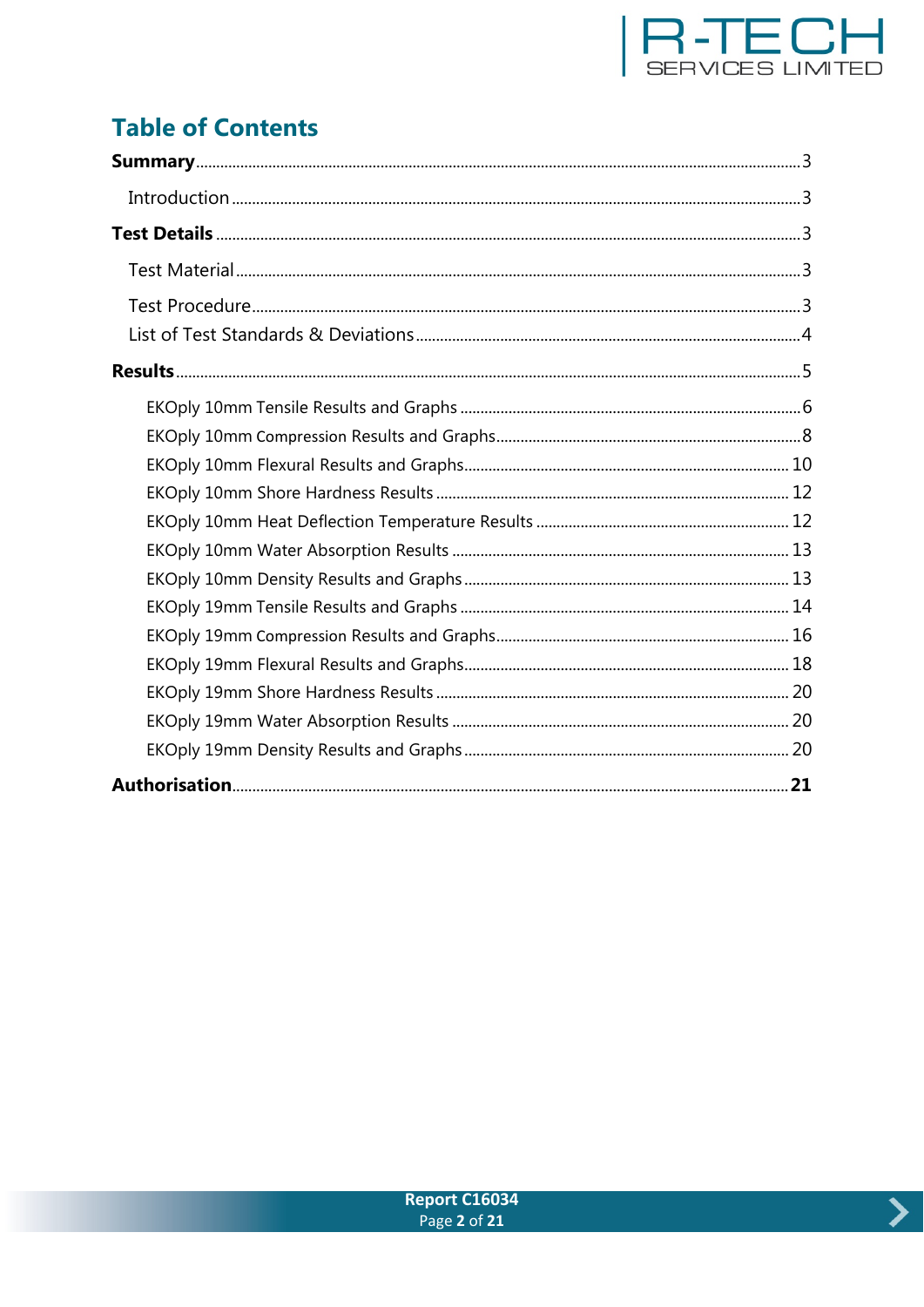

# **Table of Contents**



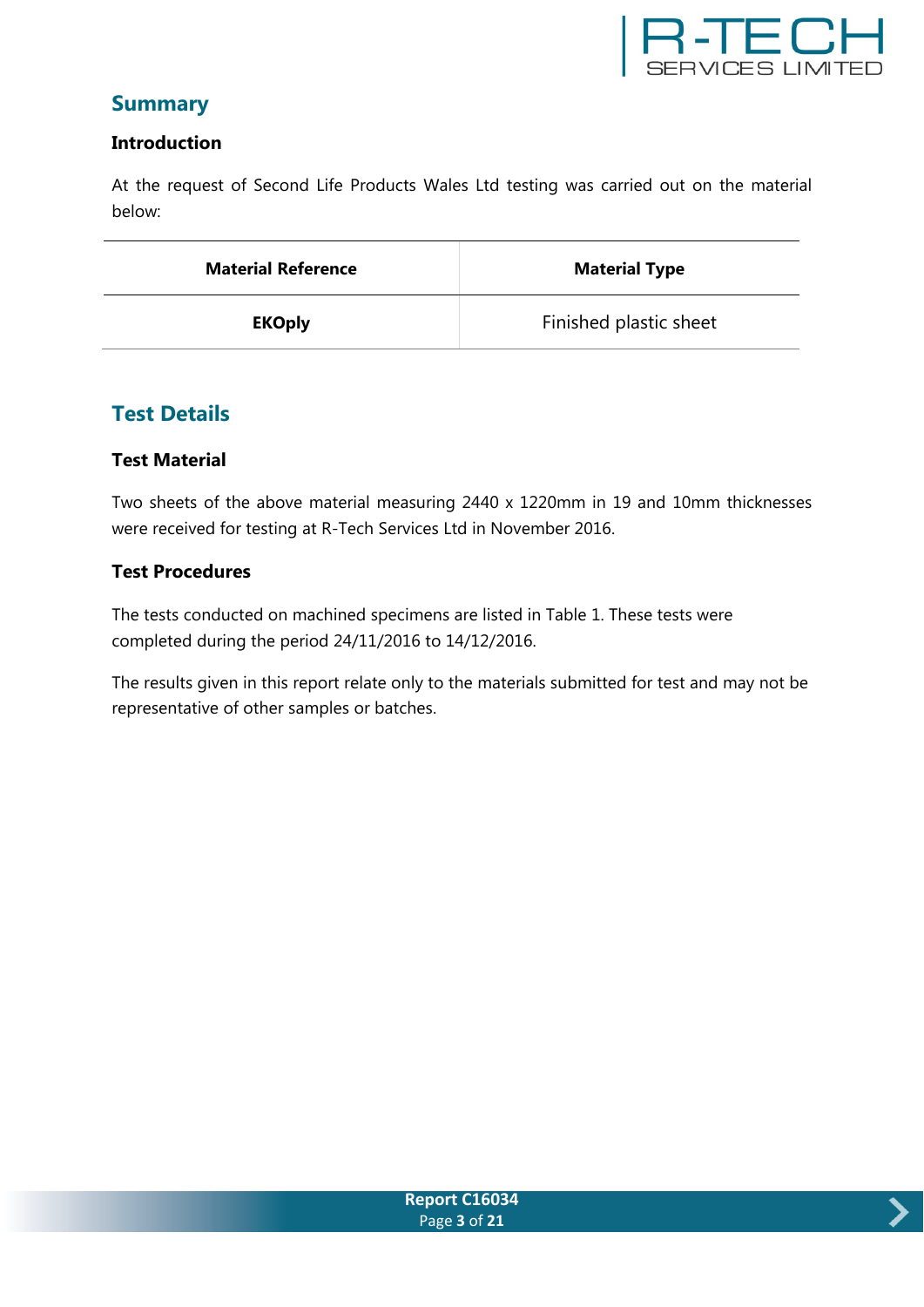

### **Summary**

#### **Introduction**

At the request of Second Life Products Wales Ltd testing was carried out on the material below:

| <b>Material Reference</b> | <b>Material Type</b>   |  |
|---------------------------|------------------------|--|
| <b>EKOply</b>             | Finished plastic sheet |  |

### **Test Details**

#### **Test Material**

Two sheets of the above material measuring 2440 x 1220mm in 19 and 10mm thicknesses were received for testing at R-Tech Services Ltd in November 2016.

#### **Test Procedures**

The tests conducted on machined specimens are listed in Table 1. These tests were completed during the period 24/11/2016 to 14/12/2016.

The results given in this report relate only to the materials submitted for test and may not be representative of other samples or batches.

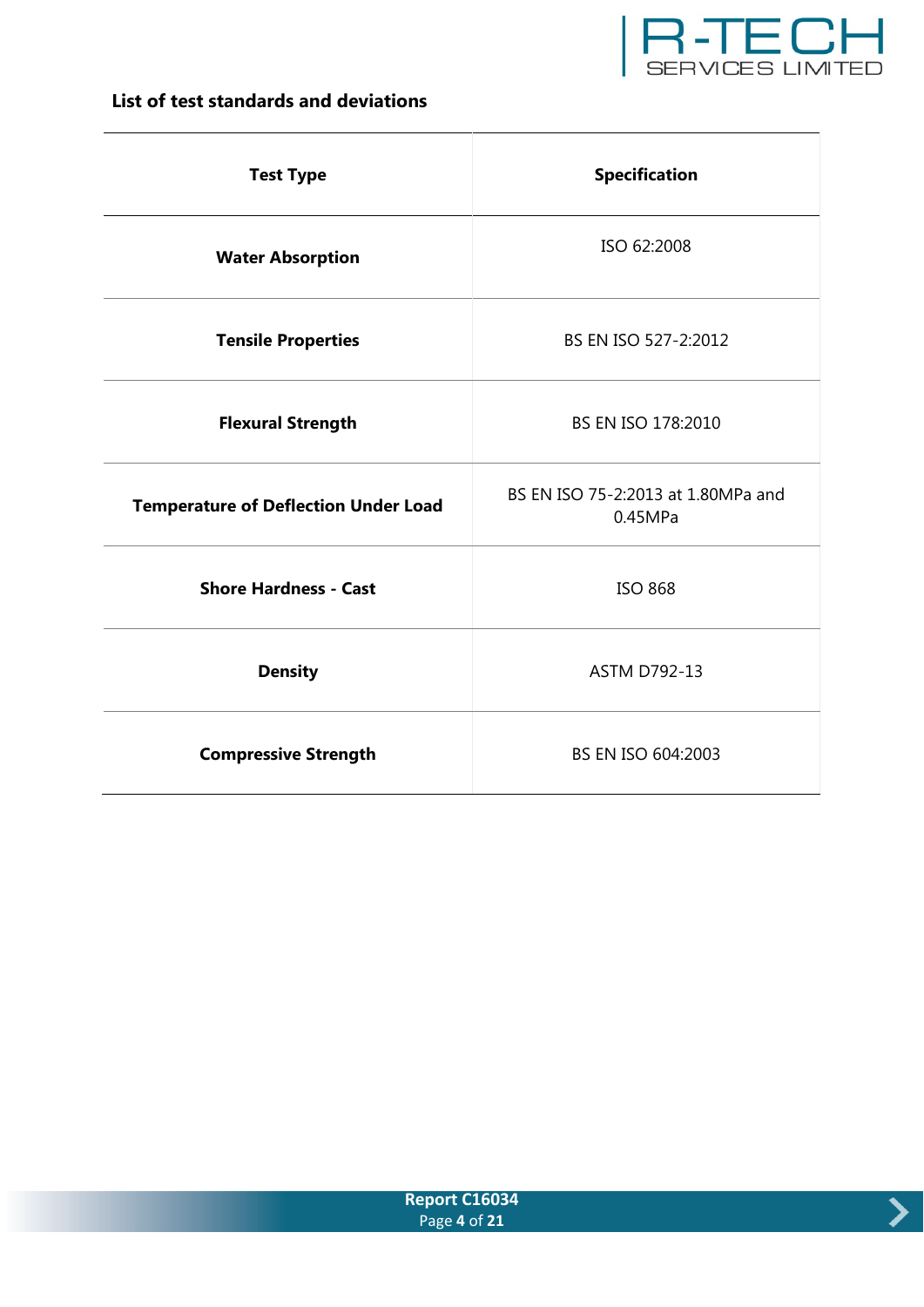

### **List of test standards and deviations**

| <b>Test Type</b>                            | <b>Specification</b>                          |  |
|---------------------------------------------|-----------------------------------------------|--|
| <b>Water Absorption</b>                     | ISO 62:2008                                   |  |
| <b>Tensile Properties</b>                   | BS EN ISO 527-2:2012                          |  |
| <b>Flexural Strength</b>                    | BS EN ISO 178:2010                            |  |
| <b>Temperature of Deflection Under Load</b> | BS EN ISO 75-2:2013 at 1.80MPa and<br>0.45MPa |  |
| <b>Shore Hardness - Cast</b>                | <b>ISO 868</b>                                |  |
| <b>Density</b>                              | <b>ASTM D792-13</b>                           |  |
| <b>Compressive Strength</b>                 | BS EN ISO 604:2003                            |  |



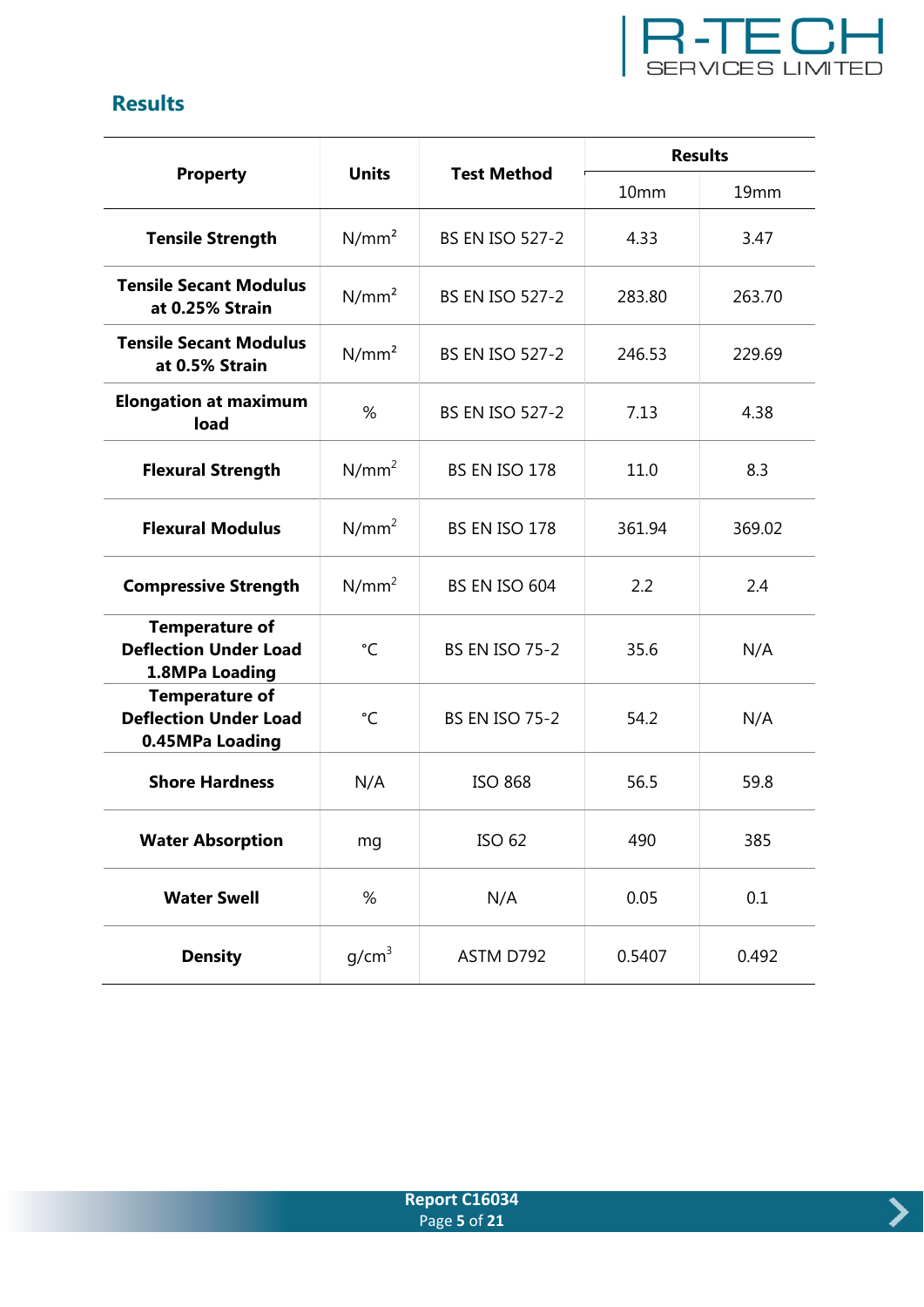

## **Results**

|                                                                          |                                    |                        | <b>Results</b> |                  |  |
|--------------------------------------------------------------------------|------------------------------------|------------------------|----------------|------------------|--|
| <b>Property</b>                                                          | <b>Units</b>                       | <b>Test Method</b>     | 10mm           | 19 <sub>mm</sub> |  |
| <b>Tensile Strength</b>                                                  | $N/mm^2$<br><b>BS EN ISO 527-2</b> |                        | 4.33           | 3.47             |  |
| <b>Tensile Secant Modulus</b><br>at 0.25% Strain                         | $N/mm^2$                           | <b>BS EN ISO 527-2</b> | 283.80         | 263.70           |  |
| <b>Tensile Secant Modulus</b><br>at 0.5% Strain                          | N/mm <sup>2</sup>                  | <b>BS EN ISO 527-2</b> | 246.53         | 229.69           |  |
| <b>Elongation at maximum</b><br>load                                     | %                                  | <b>BS EN ISO 527-2</b> | 7.13           | 4.38             |  |
| <b>Flexural Strength</b>                                                 | $N/mm^2$                           | BS EN ISO 178          | 11.0           | 8.3              |  |
| <b>Flexural Modulus</b>                                                  | $N/mm^2$                           | BS EN ISO 178          | 361.94         | 369.02           |  |
| <b>Compressive Strength</b>                                              | $N/mm^2$                           | BS EN ISO 604          | 2.2            | 2.4              |  |
| <b>Temperature of</b><br><b>Deflection Under Load</b><br>1.8MPa Loading  | °C                                 |                        | 35.6           | N/A              |  |
| <b>Temperature of</b><br><b>Deflection Under Load</b><br>0.45MPa Loading | °C                                 | <b>BS EN ISO 75-2</b>  | 54.2           | N/A              |  |
| <b>Shore Hardness</b>                                                    | N/A                                |                        | 56.5           | 59.8             |  |
| <b>Water Absorption</b>                                                  | mg                                 |                        | 490            | 385              |  |
| <b>Water Swell</b>                                                       | $\%$                               | N/A                    | 0.05           | 0.1              |  |
| <b>Density</b>                                                           | g/cm <sup>3</sup>                  | ASTM D792              | 0.5407         | 0.492            |  |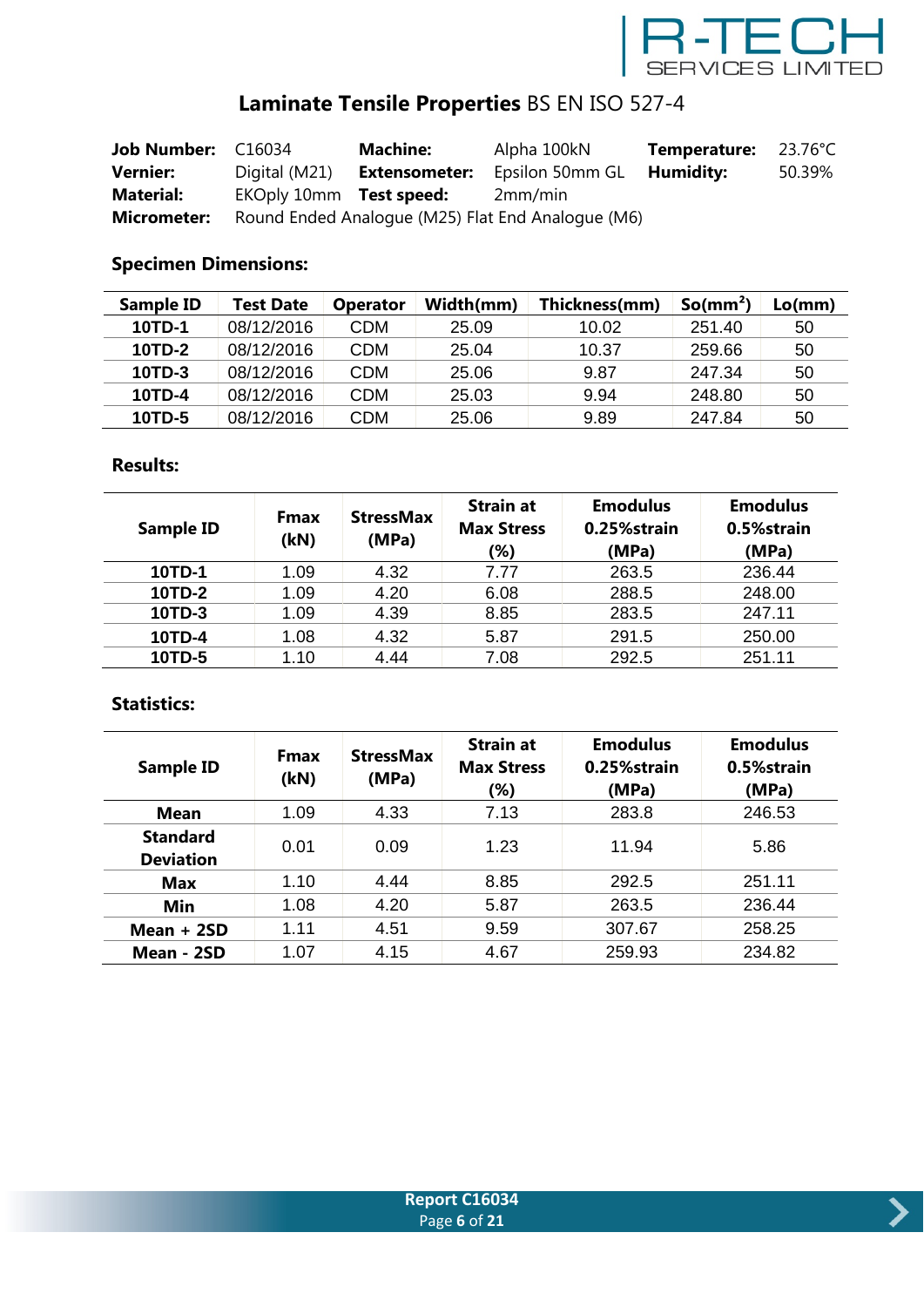

# **Laminate Tensile Properties** BS EN ISO 527-4

| Job Number: C16034 |                         | <b>Machine:</b>      | Alpha 100kN                                       | Temperature: | 23.76°C |
|--------------------|-------------------------|----------------------|---------------------------------------------------|--------------|---------|
| <b>Vernier:</b>    | Digital (M21)           | <b>Extensometer:</b> | Epsilon 50mm GL                                   | Humidity:    | 50.39%  |
| <b>Material:</b>   | EKOply 10mm Test speed: |                      | 2mm/min                                           |              |         |
| <b>Micrometer:</b> |                         |                      | Round Ended Analogue (M25) Flat End Analogue (M6) |              |         |

### **Specimen Dimensions:**

| <b>Sample ID</b> | Test Date  | <b>Operator</b> | Width(mm) | Thickness(mm) | So/mm <sup>2</sup> | Lo(mm) |
|------------------|------------|-----------------|-----------|---------------|--------------------|--------|
| 10TD-1           | 08/12/2016 | CDM             | 25.09     | 10.02         | 251.40             | 50     |
| 10TD-2           | 08/12/2016 | CDM             | 25.04     | 10.37         | 259.66             | 50     |
| 10TD-3           | 08/12/2016 | CDM             | 25.06     | 9.87          | 247.34             | 50     |
| 10TD-4           | 08/12/2016 | CDM             | 25.03     | 9.94          | 248.80             | 50     |
| 10TD-5           | 08/12/2016 | CDM             | 25.06     | 9.89          | 247.84             | 50     |

#### **Results:**

| <b>Sample ID</b> | <b>Fmax</b><br>(kN) | <b>StressMax</b><br>(MPa) | <b>Strain at</b><br><b>Max Stress</b><br>(%) | <b>Emodulus</b><br>0.25%strain<br>(MPa) | <b>Emodulus</b><br>0.5%strain<br>(MPa) |
|------------------|---------------------|---------------------------|----------------------------------------------|-----------------------------------------|----------------------------------------|
| 10TD-1           | 1.09                | 4.32                      | 7.77                                         | 263.5                                   | 236.44                                 |
| 10TD-2           | 1.09                | 4.20                      | 6.08                                         | 288.5                                   | 248.00                                 |
| 10TD-3           | 1.09                | 4.39                      | 8.85                                         | 283.5                                   | 247.11                                 |
| 10TD-4           | 1.08                | 4.32                      | 5.87                                         | 291.5                                   | 250.00                                 |
| 10TD-5           | 1.10                | 4.44                      | 7.08                                         | 292.5                                   | 251.11                                 |

| <b>Sample ID</b>                    | <b>Fmax</b><br>(kN) | <b>StressMax</b><br>(MPa) | <b>Strain at</b><br><b>Max Stress</b><br>(%) | <b>Emodulus</b><br>0.25%strain<br>(MPa) | <b>Emodulus</b><br>0.5%strain<br>(MPa) |
|-------------------------------------|---------------------|---------------------------|----------------------------------------------|-----------------------------------------|----------------------------------------|
| <b>Mean</b>                         | 1.09                | 4.33                      | 7.13                                         | 283.8                                   | 246.53                                 |
| <b>Standard</b><br><b>Deviation</b> | 0.01                | 0.09                      | 1.23                                         | 11.94                                   | 5.86                                   |
| <b>Max</b>                          | 1.10                | 4.44                      | 8.85                                         | 292.5                                   | 251.11                                 |
| Min                                 | 1.08                | 4.20                      | 5.87                                         | 263.5                                   | 236.44                                 |
| Mean $+2SD$                         | 1.11                | 4.51                      | 9.59                                         | 307.67                                  | 258.25                                 |
| Mean - 2SD                          | 1.07                | 4.15                      | 4.67                                         | 259.93                                  | 234.82                                 |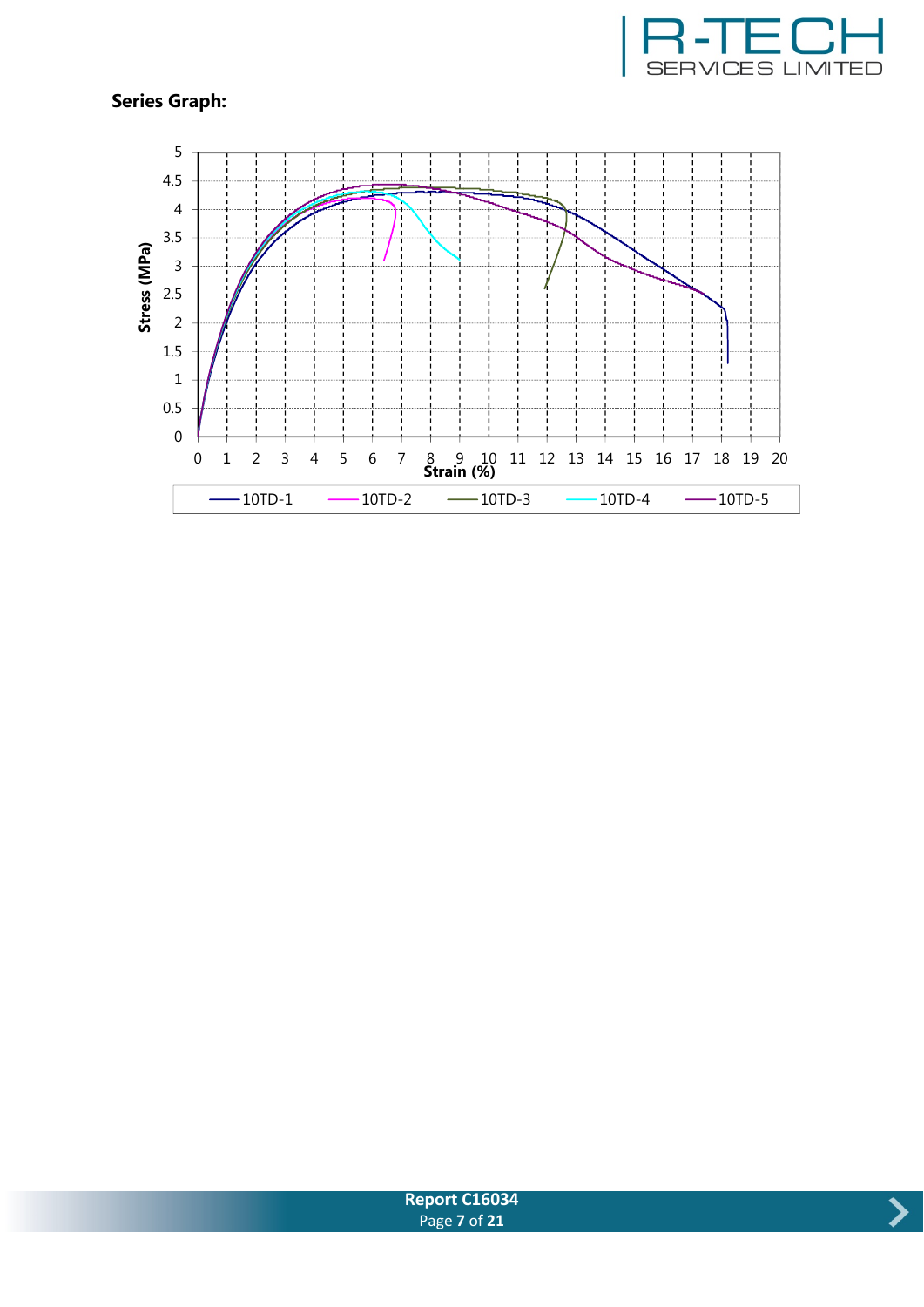





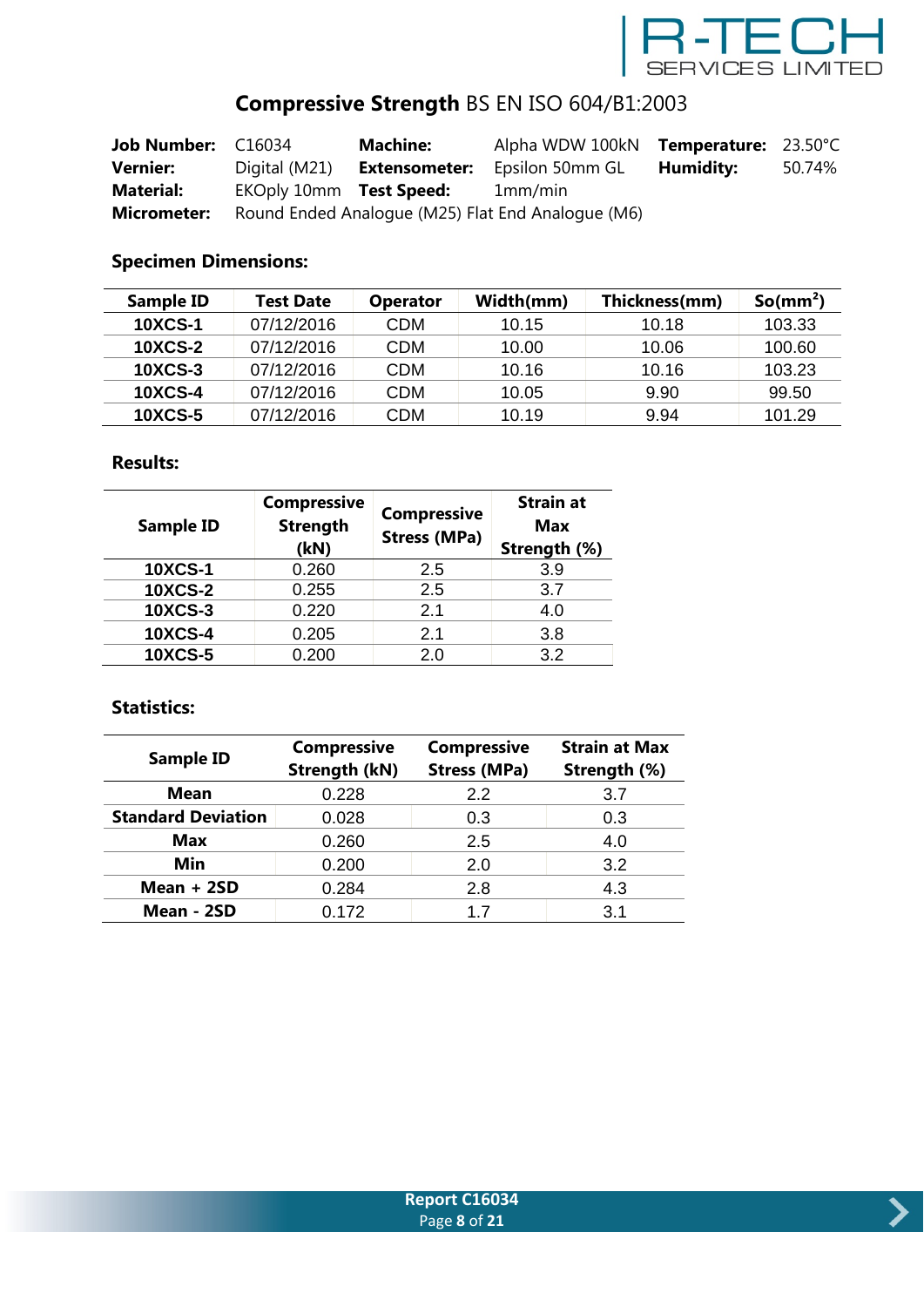

# **Compressive Strength** BS EN ISO 604/B1:2003

| Job Number: C16034 |                         | <b>Machine:</b>      | Alpha WDW 100kN Temperature: 23.50°C              |           |        |
|--------------------|-------------------------|----------------------|---------------------------------------------------|-----------|--------|
| <b>Vernier:</b>    | Digital (M21)           | <b>Extensometer:</b> | Epsilon 50mm GL                                   | Humidity: | 50.74% |
| <b>Material:</b>   | EKOply 10mm Test Speed: |                      | 1mm/min                                           |           |        |
| <b>Micrometer:</b> |                         |                      | Round Ended Analogue (M25) Flat End Analogue (M6) |           |        |

### **Specimen Dimensions:**

| Sample ID      | Test Date  | <b>Operator</b> | Width(mm) | Thickness(mm) | So/mm <sup>2</sup> |
|----------------|------------|-----------------|-----------|---------------|--------------------|
| <b>10XCS-1</b> | 07/12/2016 | CDM             | 10.15     | 10.18         | 103.33             |
| <b>10XCS-2</b> | 07/12/2016 | CDM             | 10.00     | 10.06         | 100.60             |
| <b>10XCS-3</b> | 07/12/2016 | CDM             | 10.16     | 10.16         | 103.23             |
| <b>10XCS-4</b> | 07/12/2016 | CDM             | 10.05     | 9.90          | 99.50              |
| <b>10XCS-5</b> | 07/12/2016 | CDM             | 10.19     | 9.94          | 101.29             |

### **Results:**

| <b>Sample ID</b> | <b>Compressive</b><br><b>Strength</b><br>(kN) | <b>Compressive</b><br><b>Stress (MPa)</b> | <b>Strain at</b><br><b>Max</b><br>Strength (%) |
|------------------|-----------------------------------------------|-------------------------------------------|------------------------------------------------|
| <b>10XCS-1</b>   | 0.260                                         | 2.5                                       | 3.9                                            |
| <b>10XCS-2</b>   | 0.255                                         | 2.5                                       | 3.7                                            |
| <b>10XCS-3</b>   | 0.220                                         | 2.1                                       | 4.0                                            |
| <b>10XCS-4</b>   | 0.205                                         | 2.1                                       | 3.8                                            |
| <b>10XCS-5</b>   | 0.200                                         | 2.0                                       | 3.2                                            |

| <b>Sample ID</b>          | <b>Compressive</b><br><b>Strength (kN)</b> | <b>Compressive</b><br><b>Stress (MPa)</b> | <b>Strain at Max</b><br>Strength (%) |
|---------------------------|--------------------------------------------|-------------------------------------------|--------------------------------------|
| <b>Mean</b>               | 0.228                                      | 2.2                                       | 3.7                                  |
| <b>Standard Deviation</b> | 0.028                                      | 0.3                                       | 0.3                                  |
| <b>Max</b>                | 0.260                                      | 2.5                                       | 4.0                                  |
| Min                       | 0.200                                      | 2.0                                       | 3.2                                  |
| Mean + 2SD                | 0.284                                      | 2.8                                       | 4.3                                  |
| Mean - 2SD                | 0.172                                      | 1.7                                       | 3.1                                  |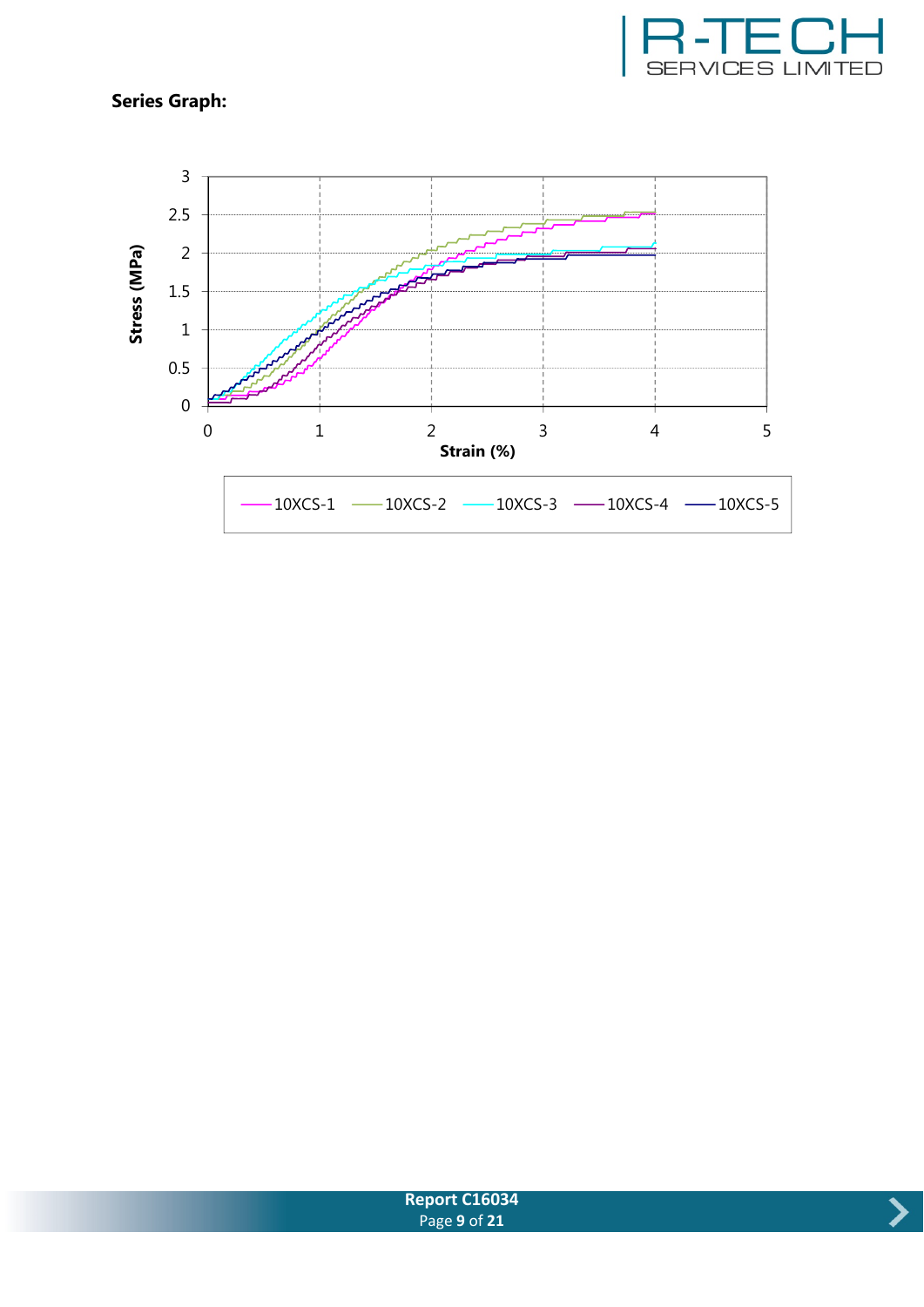





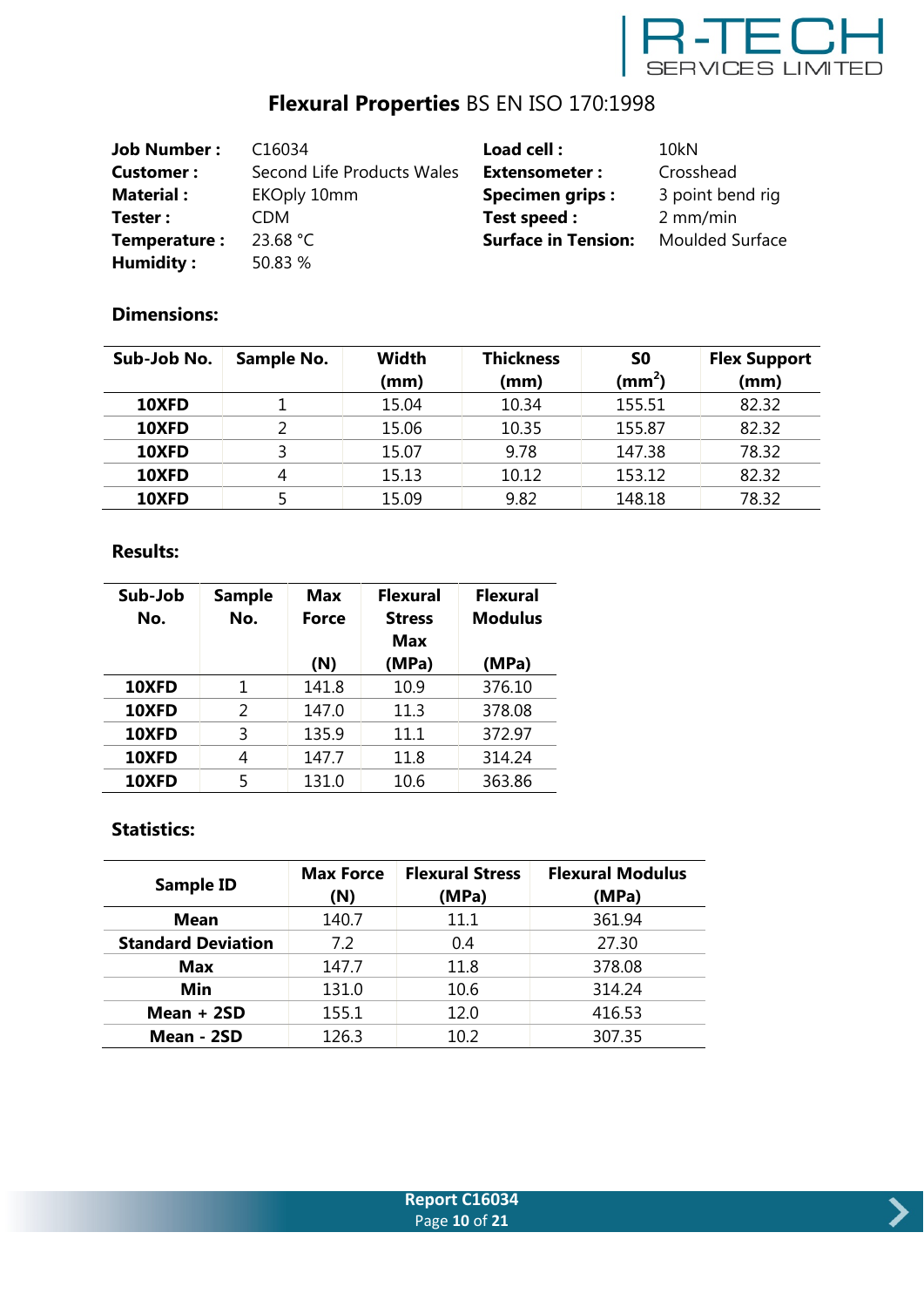

# **Flexural Properties** BS EN ISO 170:1998

| <b>Job Number:</b> | C <sub>16034</sub>         | Load cell:                 | 10 <sub>kN</sub>       |
|--------------------|----------------------------|----------------------------|------------------------|
| Customer:          | Second Life Products Wales | <b>Extensometer:</b>       | Crosshead              |
| <b>Material:</b>   | EKOply 10mm                | <b>Specimen grips:</b>     | 3 point bend rig       |
| Tester:            | <b>CDM</b>                 | Test speed :               | $2$ mm/min             |
| Temperature:       | 23.68 $°C$                 | <b>Surface in Tension:</b> | <b>Moulded Surface</b> |
| Humidity:          | 50.83 %                    |                            |                        |

### **Dimensions:**

| Sub-Job No. | <b>Sample No.</b> | <b>Width</b> | <b>Thickness</b> | S0        | <b>Flex Support</b> |
|-------------|-------------------|--------------|------------------|-----------|---------------------|
|             |                   | (mm)         | (mm)             | (mm $^2)$ | (mm)                |
| 10XFD       |                   | 15.04        | 10.34            | 155.51    | 82.32               |
| 10XFD       | ∍                 | 15.06        | 10.35            | 155.87    | 82.32               |
| 10XFD       |                   | 15.07        | 9.78             | 147.38    | 78.32               |
| 10XFD       | 4                 | 15.13        | 10.12            | 153.12    | 82.32               |
| 10XFD       |                   | 15.09        | 9.82             | 148.18    | 78.32               |

#### **Results:**

| Sub-Job<br>No. | <b>Sample</b><br>No. | <b>Max</b><br>Force | <b>Flexural</b><br><b>Stress</b><br><b>Max</b> | <b>Flexural</b><br><b>Modulus</b> |
|----------------|----------------------|---------------------|------------------------------------------------|-----------------------------------|
|                |                      | (N)                 | (MPa)                                          | (MPa)                             |
| 10XFD          | 1                    | 141.8               | 10.9                                           | 376.10                            |
| 10XFD          | 2                    | 147.0               | 11.3                                           | 378.08                            |
| 10XFD          | ξ                    | 135.9               | 11.1                                           | 372.97                            |
| 10XFD          | 4                    | 147.7               | 11.8                                           | 314.24                            |
| <b>10XFD</b>   | 5                    | 131.0               | 10.6                                           | 363.86                            |

| <b>Sample ID</b>          | <b>Max Force</b><br>(N) | <b>Flexural Stress</b><br>(MPa) | <b>Flexural Modulus</b><br>(MPa) |
|---------------------------|-------------------------|---------------------------------|----------------------------------|
| <b>Mean</b>               | 140.7                   | 11.1                            | 361.94                           |
| <b>Standard Deviation</b> | 7.2                     | 0.4                             | 27.30                            |
| <b>Max</b>                | 147.7                   | 11.8                            | 378.08                           |
| Min                       | 131.0                   | 10.6                            | 314.24                           |
| Mean $+2SD$               | 155.1                   | 12.0                            | 416.53                           |
| Mean - 2SD                | 126.3                   | 10.2                            | 307.35                           |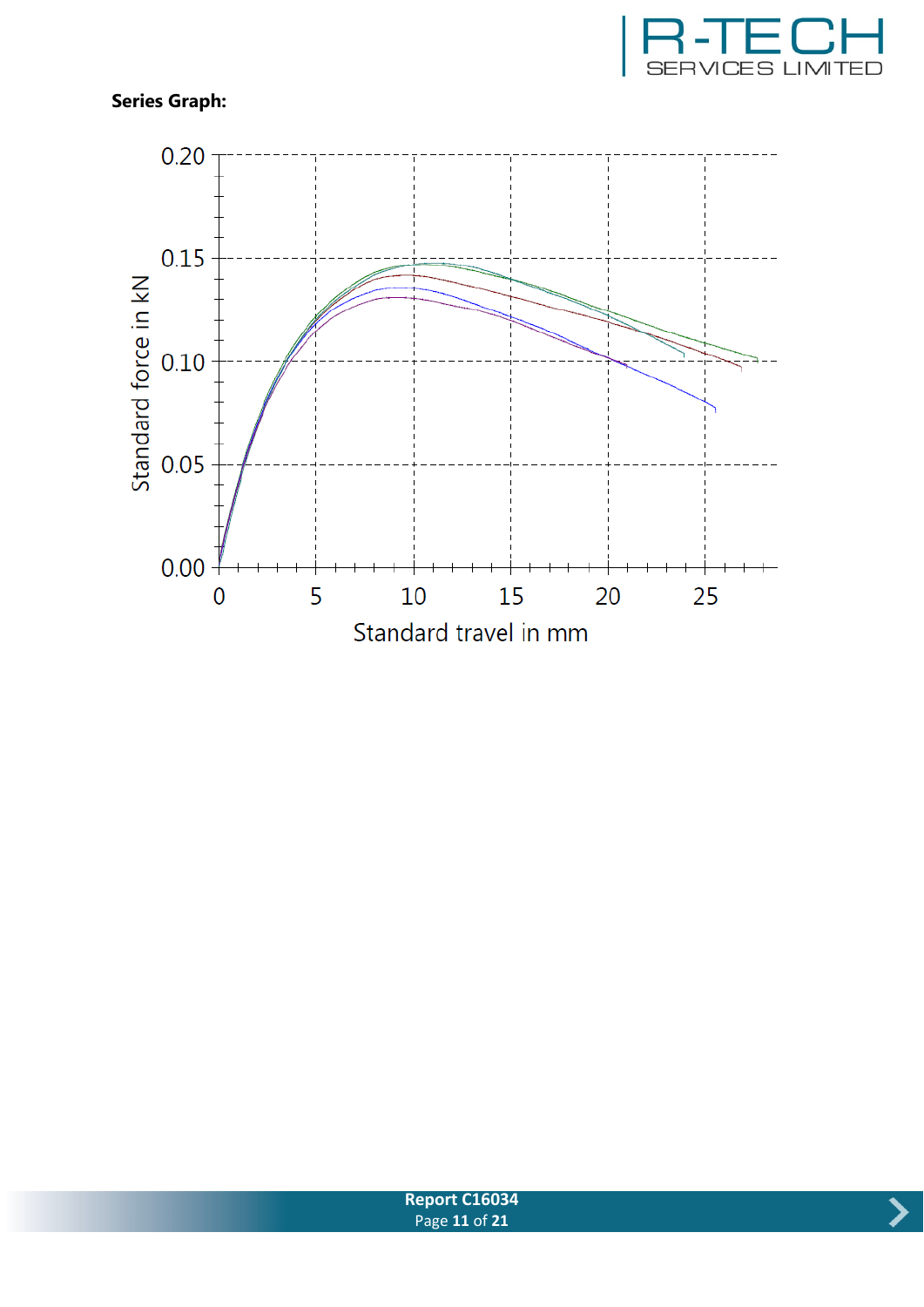



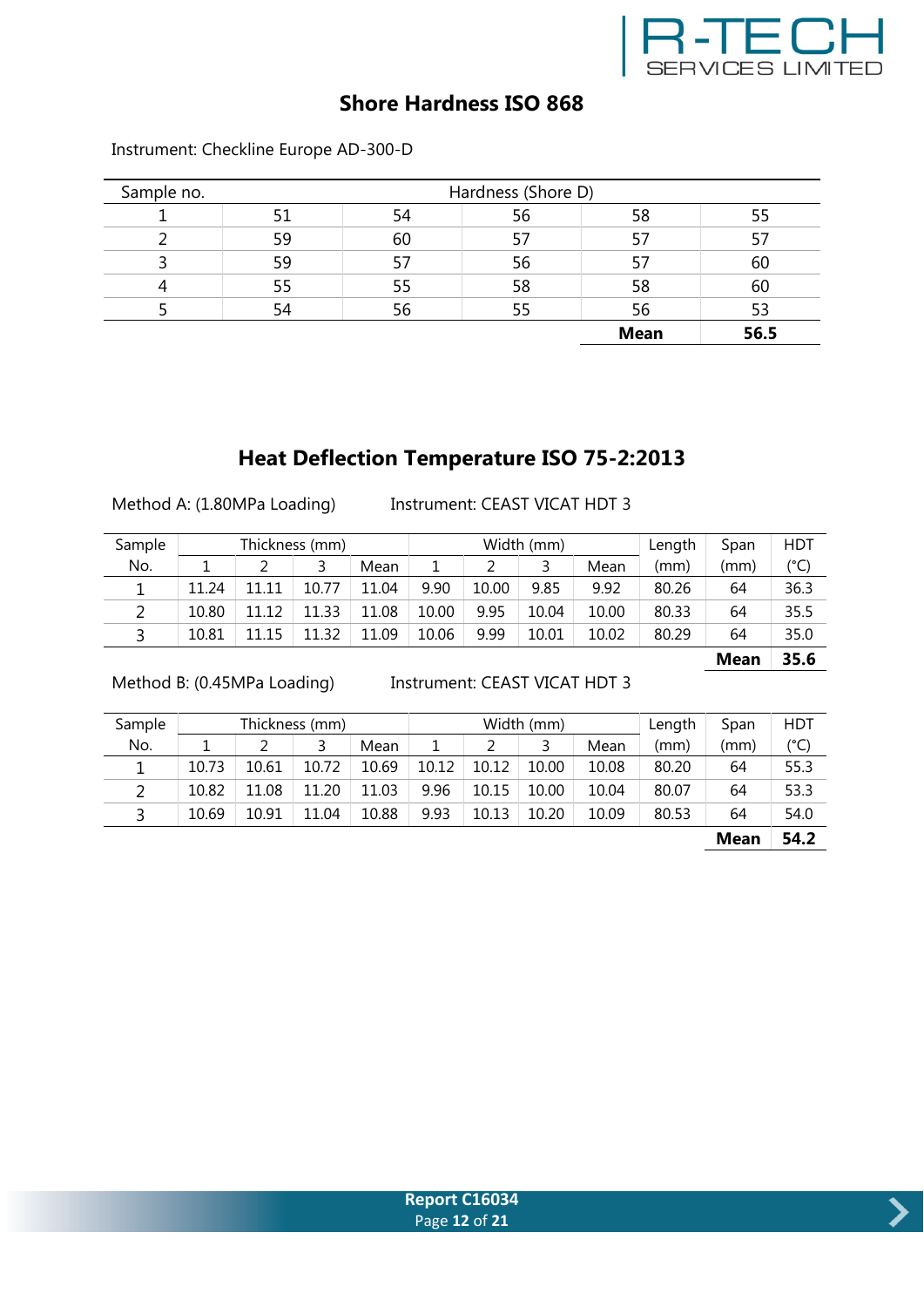

### **Shore Hardness ISO 868**

| Sample no. |    | Hardness (Shore D) |    |             |      |  |  |  |
|------------|----|--------------------|----|-------------|------|--|--|--|
|            |    | 54                 | 56 | 58          |      |  |  |  |
|            | 59 | 60                 |    | 57          |      |  |  |  |
|            | 59 |                    | 56 |             | 60   |  |  |  |
|            | 55 | 55                 | 58 | 58          | 60   |  |  |  |
|            | 54 | 56                 | 55 | 56          | 53   |  |  |  |
|            |    |                    |    | <b>Mean</b> | 56.5 |  |  |  |

Instrument: Checkline Europe AD-300-D

## **Heat Deflection Temperature ISO 75-2:2013**

Method A: (1.80MPa Loading) Instrument: CEAST VICAT HDT 3

| Sample |       |       | Thickness (mm) |       | Width (mm) |       |       |       | Length | Span        | HDT           |
|--------|-------|-------|----------------|-------|------------|-------|-------|-------|--------|-------------|---------------|
| No.    |       |       |                | Mean  | ᅩ          |       | 3     | Mean  | (mm)   | (mm)        | $(^{\circ}C)$ |
|        | 11.24 | 11.11 | 10.77          | 11.04 | 9.90       | 10.00 | 9.85  | 9.92  | 80.26  | 64          | 36.3          |
|        | 10.80 | 11.12 | 11.33          | 11.08 | 10.00      | 9.95  | 10.04 | 10.00 | 80.33  | 64          | 35.5          |
| 3      | 10.81 | 11.15 | 11.32          | 11.09 | 10.06      | 9.99  | 10.01 | 10.02 | 80.29  | 64          | 35.0          |
|        |       |       |                |       |            |       |       |       |        | <b>Mean</b> | 35.6          |

Method B: (0.45MPa Loading) Instrument: CEAST VICAT HDT 3

| Sample |       | Width (mm)<br>Thickness (mm) |       |       |       |       |       | Length | Span  | HDT         |      |
|--------|-------|------------------------------|-------|-------|-------|-------|-------|--------|-------|-------------|------|
| No.    |       |                              |       | Mean  |       |       |       | Mean   | (mm)  | (mm)        | (°C) |
|        | 10.73 | 10.61                        | 10.72 | 10.69 | 10.12 | 10.12 | 10.00 | 10.08  | 80.20 | 64          | 55.3 |
|        | 10.82 | 11.08                        | 11.20 | 11.03 | 9.96  | 10.15 | 10.00 | 10.04  | 80.07 | 64          | 53.3 |
| 3      | 10.69 | 10.91                        | 11.04 | 10.88 | 9.93  | 10.13 | 10.20 | 10.09  | 80.53 | 64          | 54.0 |
|        |       |                              |       |       |       |       |       |        |       | <b>Mean</b> | 54.2 |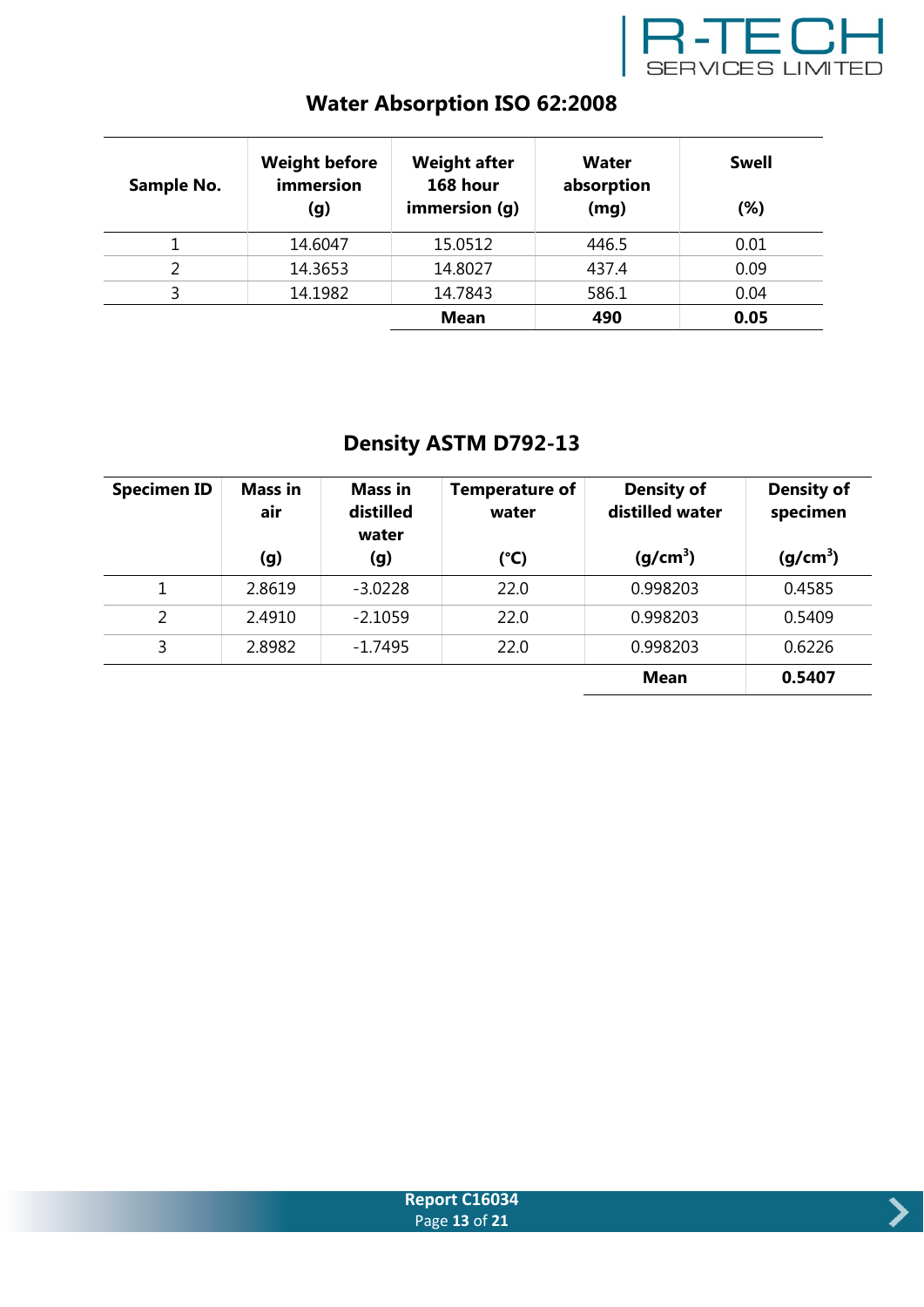

| Sample No. | <b>Weight before</b><br>immersion<br>(g) | <b>Weight after</b><br>168 hour<br>immersion (g) | Water<br>absorption<br>(mg) | <b>Swell</b><br>$(\%)$ |
|------------|------------------------------------------|--------------------------------------------------|-----------------------------|------------------------|
|            | 14.6047                                  | 15.0512                                          | 446.5                       | 0.01                   |
|            | 14.3653                                  | 14.8027                                          | 437.4                       | 0.09                   |
|            | 14.1982                                  | 14.7843                                          | 586.1                       | 0.04                   |
|            |                                          | <b>Mean</b>                                      | 490                         | 0.05                   |

# **Water Absorption ISO 62:2008**

# **Density ASTM D792-13**

| <b>Specimen ID</b> | <b>Mass in</b><br>air | <b>Mass in</b><br>distilled<br>water | <b>Temperature of</b><br>water | <b>Density of</b><br>distilled water | <b>Density of</b><br>specimen |
|--------------------|-----------------------|--------------------------------------|--------------------------------|--------------------------------------|-------------------------------|
|                    | (g)                   | (g)                                  | $(^{\circ}C)$                  | (g/cm <sup>3</sup> )                 | (g/cm <sup>3</sup> )          |
|                    | 2.8619                | $-3.0228$                            | 22.0                           | 0.998203                             | 0.4585                        |
| 2                  | 2.4910                | $-2.1059$                            | 22.0                           | 0.998203                             | 0.5409                        |
| 3                  | 2.8982                | $-1.7495$                            | 22.0                           | 0.998203                             | 0.6226                        |
|                    |                       |                                      |                                | <b>Mean</b>                          | 0.5407                        |



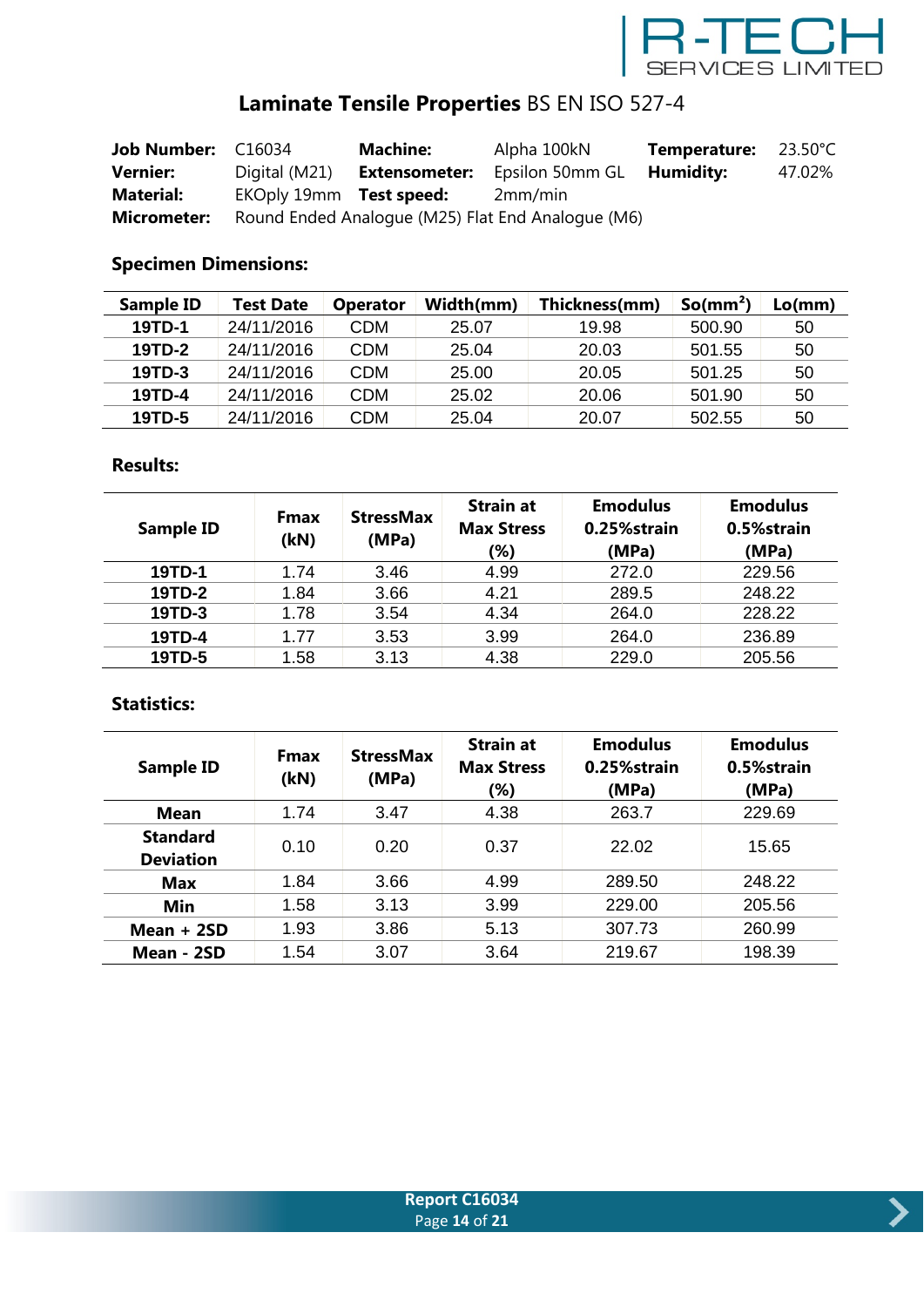

# **Laminate Tensile Properties** BS EN ISO 527-4

| Job Number: C16034 |                         | <b>Machine:</b>      | Alpha 100kN                                       | <b>Temperature:</b> 23.50°C |        |
|--------------------|-------------------------|----------------------|---------------------------------------------------|-----------------------------|--------|
| <b>Vernier:</b>    | Digital (M21)           | <b>Extensometer:</b> | Epsilon 50mm GL                                   | Humidity:                   | 47.02% |
| <b>Material:</b>   | EKOply 19mm Test speed: |                      | 2mm/min                                           |                             |        |
| <b>Micrometer:</b> |                         |                      | Round Ended Analogue (M25) Flat End Analogue (M6) |                             |        |

### **Specimen Dimensions:**

| <b>Sample ID</b> | Test Date  | <b>Operator</b> | Width(mm) | Thickness(mm) | So/mm <sup>2</sup> ) | Lo(mm) |
|------------------|------------|-----------------|-----------|---------------|----------------------|--------|
| 19TD-1           | 24/11/2016 | CDM             | 25.07     | 19.98         | 500.90               | 50     |
| 19TD-2           | 24/11/2016 | CDM             | 25.04     | 20.03         | 501.55               | 50     |
| 19TD-3           | 24/11/2016 | CDM             | 25.00     | 20.05         | 501.25               | 50     |
| 19TD-4           | 24/11/2016 | CDM             | 25.02     | 20.06         | 501.90               | 50     |
| 19TD-5           | 24/11/2016 | CDM             | 25.04     | 20.07         | 502.55               | 50     |

#### **Results:**

| Sample ID | <b>Fmax</b><br>(kN) | <b>StressMax</b><br>(MPa) | <b>Strain at</b><br><b>Max Stress</b><br>(%) | <b>Emodulus</b><br>0.25%strain<br>(MPa) | <b>Emodulus</b><br>0.5%strain<br>(MPa) |
|-----------|---------------------|---------------------------|----------------------------------------------|-----------------------------------------|----------------------------------------|
| 19TD-1    | 1.74                | 3.46                      | 4.99                                         | 272.0                                   | 229.56                                 |
| 19TD-2    | 1.84                | 3.66                      | 4.21                                         | 289.5                                   | 248.22                                 |
| 19TD-3    | 1.78                | 3.54                      | 4.34                                         | 264.0                                   | 228.22                                 |
| 19TD-4    | 1.77                | 3.53                      | 3.99                                         | 264.0                                   | 236.89                                 |
| 19TD-5    | 1.58                | 3.13                      | 4.38                                         | 229.0                                   | 205.56                                 |

| <b>Sample ID</b>                    | <b>Fmax</b><br>(kN) | <b>StressMax</b><br>(MPa) | <b>Strain at</b><br><b>Max Stress</b><br>(%) | <b>Emodulus</b><br>0.25%strain<br>(MPa) | <b>Emodulus</b><br>0.5%strain<br>(MPa) |
|-------------------------------------|---------------------|---------------------------|----------------------------------------------|-----------------------------------------|----------------------------------------|
| Mean                                | 1.74                | 3.47                      | 4.38                                         | 263.7                                   | 229.69                                 |
| <b>Standard</b><br><b>Deviation</b> | 0.10                | 0.20                      | 0.37                                         | 22.02                                   | 15.65                                  |
| Max                                 | 1.84                | 3.66                      | 4.99                                         | 289.50                                  | 248.22                                 |
| Min                                 | 1.58                | 3.13                      | 3.99                                         | 229.00                                  | 205.56                                 |
| Mean $+2SD$                         | 1.93                | 3.86                      | 5.13                                         | 307.73                                  | 260.99                                 |
| Mean - 2SD                          | 1.54                | 3.07                      | 3.64                                         | 219.67                                  | 198.39                                 |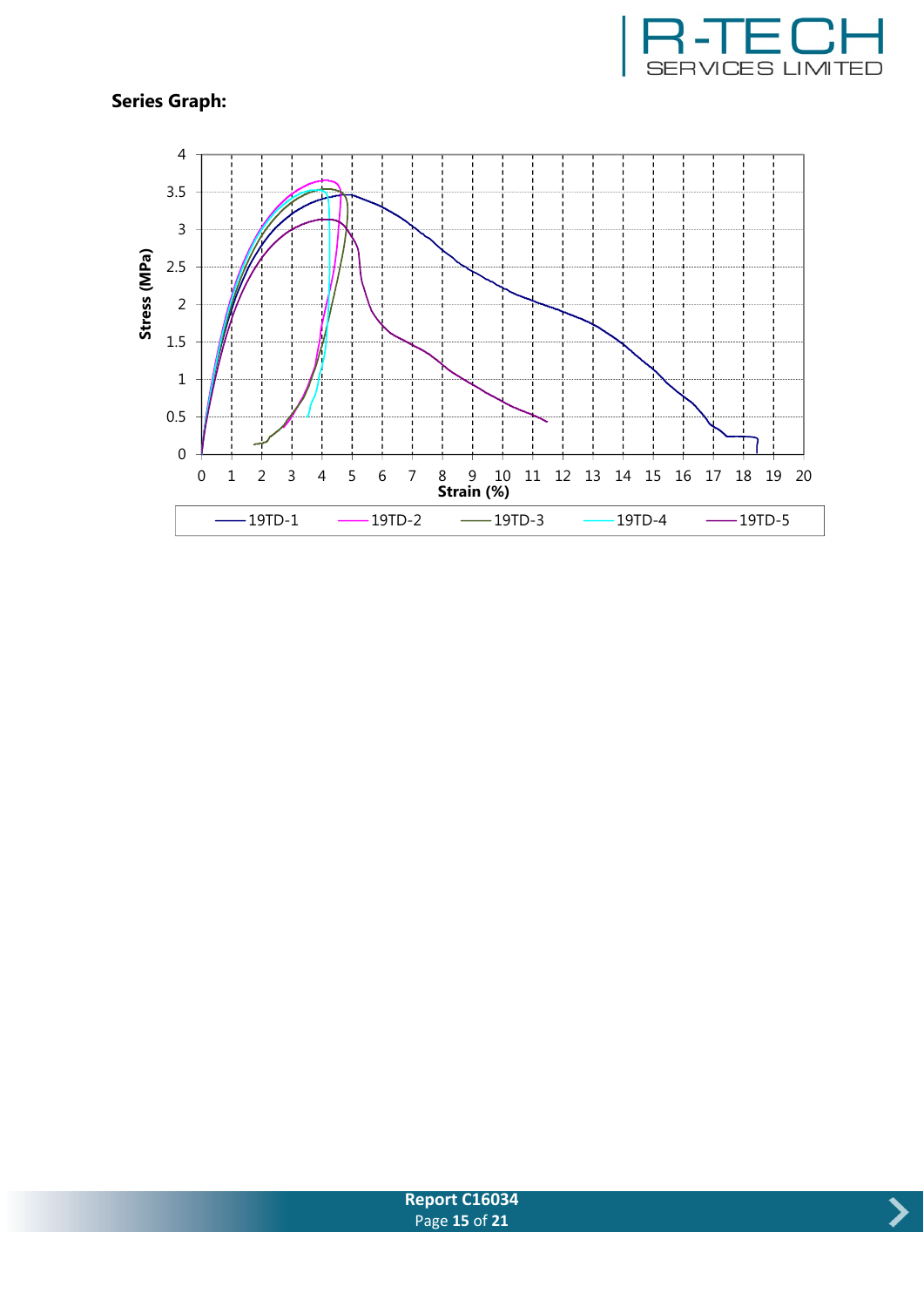





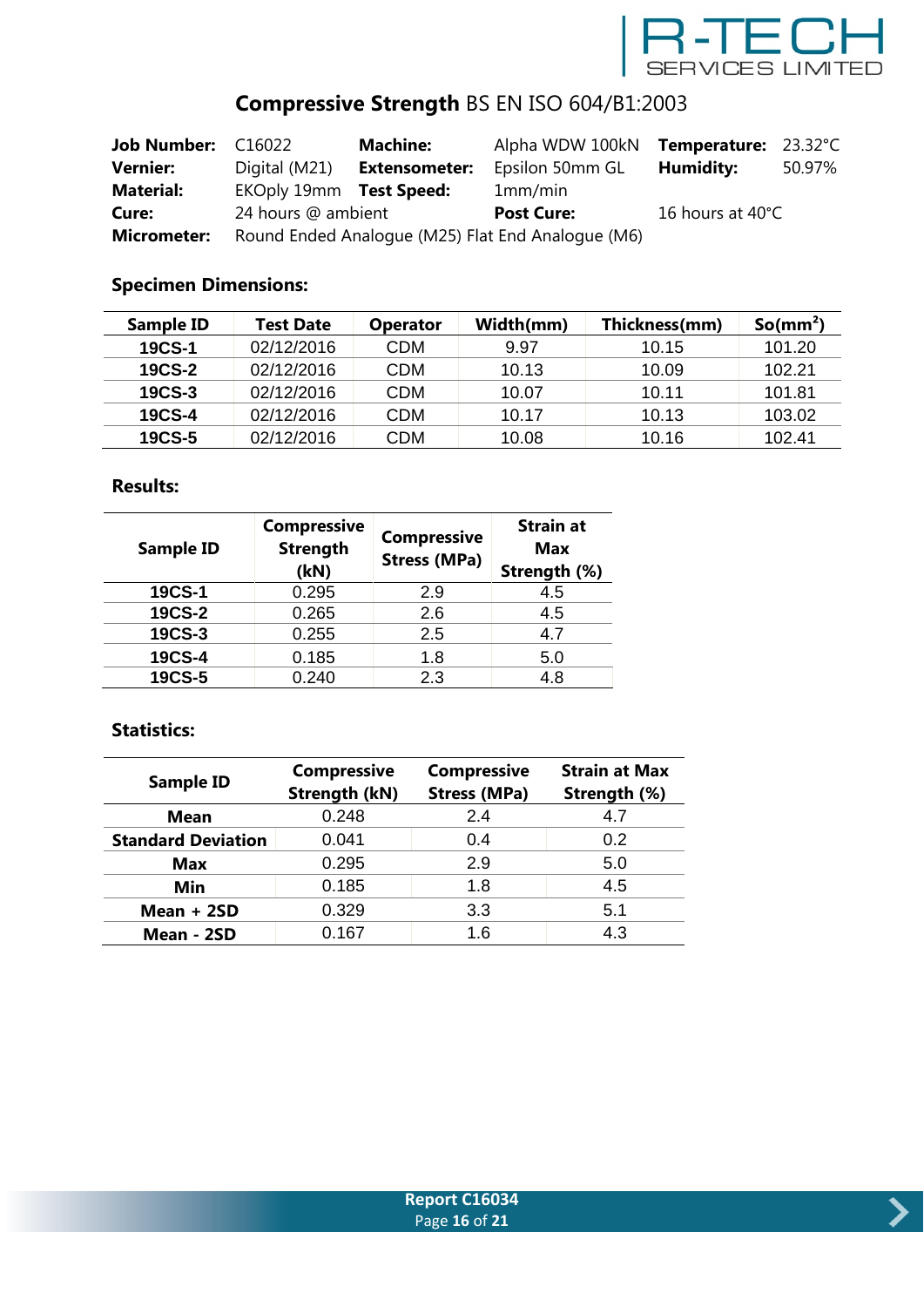

# **Compressive Strength** BS EN ISO 604/B1:2003

| <b>Job Number: C16022</b> |                                                   | <b>Machine:</b>      | Alpha WDW 100kN  | Temperature: 23.32°C |        |
|---------------------------|---------------------------------------------------|----------------------|------------------|----------------------|--------|
| <b>Vernier:</b>           | Digital (M21)                                     | <b>Extensometer:</b> | Epsilon 50mm GL  | Humidity:            | 50.97% |
| <b>Material:</b>          | EKOply 19mm Test Speed:                           |                      | 1mm/min          |                      |        |
| Cure:                     | 24 hours @ ambient<br><b>Post Cure:</b>           |                      | 16 hours at 40°C |                      |        |
| <b>Micrometer:</b>        | Round Ended Analogue (M25) Flat End Analogue (M6) |                      |                  |                      |        |

## **Specimen Dimensions:**

| Sample ID     | <b>Test Date</b> | <b>Operator</b> | Width(mm) | Thickness(mm) | So/mm <sup>2</sup> |
|---------------|------------------|-----------------|-----------|---------------|--------------------|
| <b>19CS-1</b> | 02/12/2016       | CDM             | 9.97      | 10.15         | 101.20             |
| <b>19CS-2</b> | 02/12/2016       | <b>CDM</b>      | 10.13     | 10.09         | 102.21             |
| <b>19CS-3</b> | 02/12/2016       | CDM             | 10.07     | 10.11         | 101.81             |
| 19CS-4        | 02/12/2016       | CDM             | 10.17     | 10.13         | 103.02             |
| <b>19CS-5</b> | 02/12/2016       | CDM             | 10.08     | 10.16         | 102.41             |

#### **Results:**

| <b>Sample ID</b> | <b>Compressive</b><br><b>Strength</b><br>(kN) | <b>Compressive</b><br><b>Stress (MPa)</b> | <b>Strain at</b><br><b>Max</b><br>Strength (%) |
|------------------|-----------------------------------------------|-------------------------------------------|------------------------------------------------|
| 19CS-1           | 0.295                                         | 2.9                                       | 4.5                                            |
| <b>19CS-2</b>    | 0.265                                         | 2.6                                       | 4.5                                            |
| 19CS-3           | 0.255                                         | 2.5                                       | 4.7                                            |
| 19CS-4           | 0.185                                         | 1.8                                       | 5.0                                            |
| 19CS-5           | 0.240                                         | 2.3                                       | 4.8                                            |

|                           | <b>Compressive</b>   | <b>Compressive</b>  | <b>Strain at Max</b> |  |
|---------------------------|----------------------|---------------------|----------------------|--|
| <b>Sample ID</b>          | <b>Strength (kN)</b> | <b>Stress (MPa)</b> | Strength (%)         |  |
| <b>Mean</b>               | 0.248                | 2.4                 | 4.7                  |  |
| <b>Standard Deviation</b> | 0.041                | 0.4                 | 0.2                  |  |
| <b>Max</b>                | 0.295                | 2.9                 | 5.0                  |  |
| Min                       | 0.185<br>1.8         |                     | 4.5                  |  |
| Mean $+2SD$               | 0.329                | 3.3                 | 5.1                  |  |
| Mean - 2SD                | 0.167                | 1.6                 | 4.3                  |  |

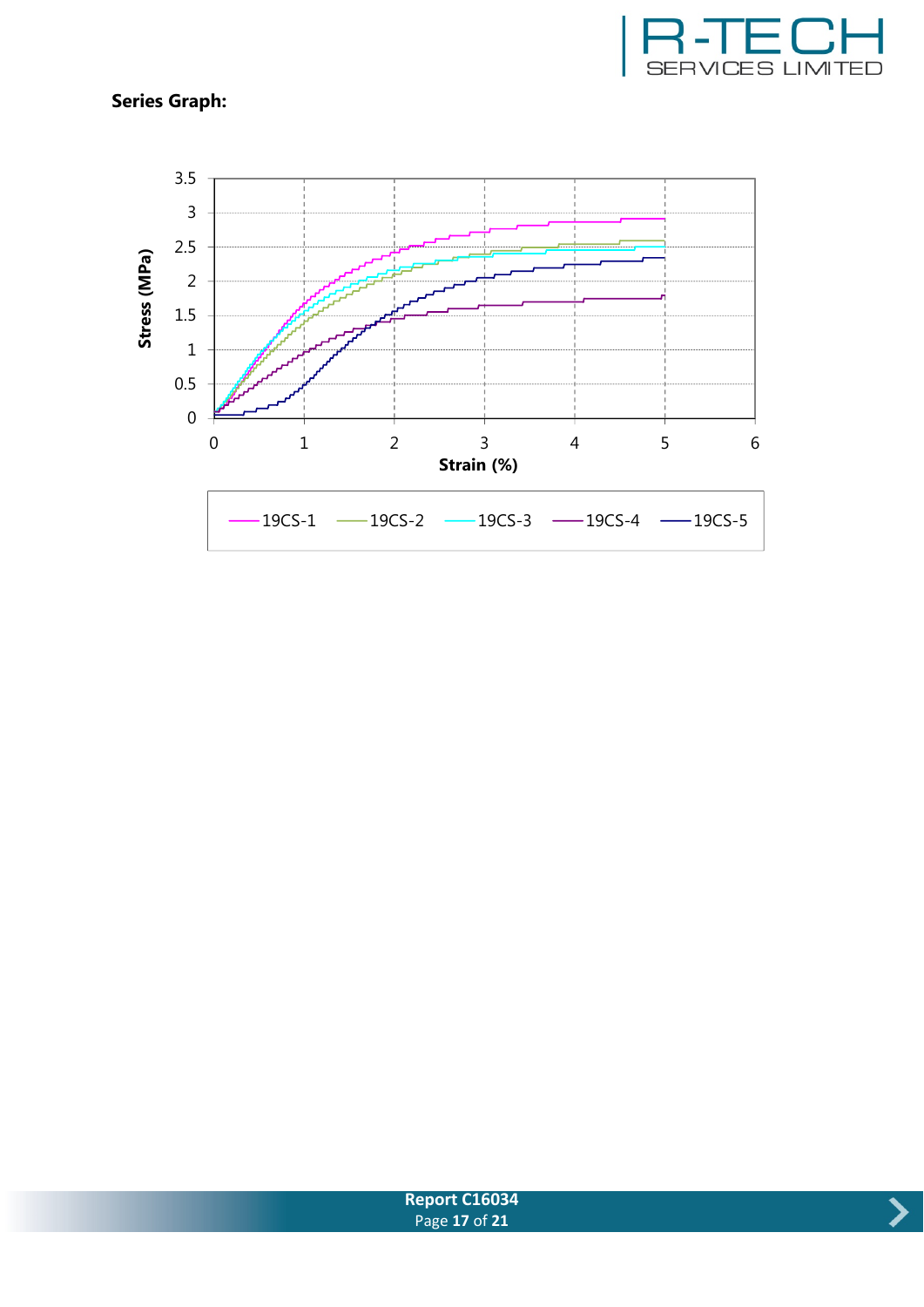





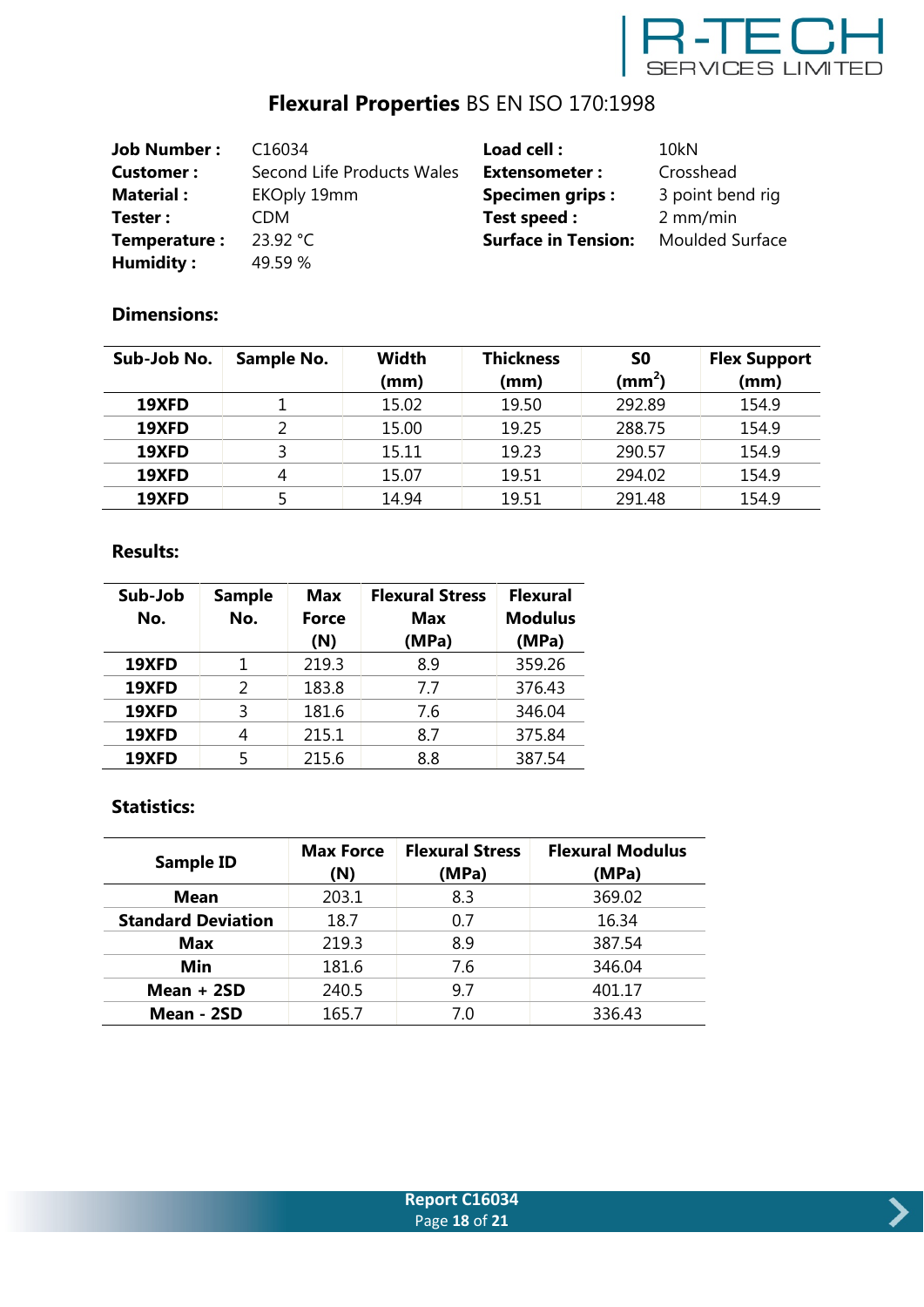

# **Flexural Properties** BS EN ISO 170:1998

| <b>Job Number:</b> | C16034                     | Load cell:                 | 10 <sub>kN</sub>       |
|--------------------|----------------------------|----------------------------|------------------------|
| <b>Customer:</b>   | Second Life Products Wales | <b>Extensometer:</b>       | Crosshead              |
| <b>Material:</b>   | <b>EKOply 19mm</b>         | <b>Specimen grips:</b>     | 3 point bend rig       |
| Tester:            | CDM                        | Test speed :               | $2 \, \text{mm/min}$   |
| Temperature:       | 23.92 °C                   | <b>Surface in Tension:</b> | <b>Moulded Surface</b> |
| Humidity:          | 49.59 %                    |                            |                        |

### **Dimensions:**

| Sub-Job No. | Sample No. | Width<br>(mm) | <b>Thickness</b><br>(mm) | S0<br>(mm <sup>2</sup> ) | <b>Flex Support</b><br>(mm) |
|-------------|------------|---------------|--------------------------|--------------------------|-----------------------------|
|             |            |               |                          |                          |                             |
| 19XFD       |            | 15.02         | 19.50                    | 292.89                   | 154.9                       |
| 19XFD       |            | 15.00         | 19.25                    | 288.75                   | 154.9                       |
| 19XFD       |            | 15.11         | 19.23                    | 290.57                   | 154.9                       |
| 19XFD       | 4          | 15.07         | 19.51                    | 294.02                   | 154.9                       |
| 19XFD       |            | 14.94         | 19.51                    | 291.48                   | 154.9                       |

#### **Results:**

| Sub-Job<br>No. | <b>Sample</b><br>No. | <b>Max</b><br><b>Force</b><br>(N) | <b>Flexural Stress</b><br>Max<br>(MPa) | <b>Flexural</b><br><b>Modulus</b><br>(MPa) |
|----------------|----------------------|-----------------------------------|----------------------------------------|--------------------------------------------|
| 19XFD          | 1                    | 219.3                             | 8.9                                    | 359.26                                     |
| 19XFD          | $\mathcal{P}$        | 183.8                             | 7.7                                    | 376.43                                     |
| 19XFD          | ξ                    | 181.6                             | 7.6                                    | 346.04                                     |
| 19XFD          | 4                    | 215.1                             | 8.7                                    | 375.84                                     |
| 19XFD          | 5                    | 215.6                             | 8.8                                    | 387.54                                     |

| <b>Sample ID</b>          | <b>Max Force</b><br>(N) | <b>Flexural Stress</b><br>(MPa) | <b>Flexural Modulus</b><br>(MPa) |
|---------------------------|-------------------------|---------------------------------|----------------------------------|
| <b>Mean</b>               | 203.1                   | 8.3                             | 369.02                           |
| <b>Standard Deviation</b> | 18.7                    | 0.7                             | 16.34                            |
| <b>Max</b>                | 219.3                   | 8.9                             | 387.54                           |
| Min                       | 181.6                   | 7.6                             | 346.04                           |
| Mean $+2SD$               | 240.5                   | 9.7                             | 401.17                           |
| Mean - 2SD                | 165.7                   | 7.0                             | 336.43                           |

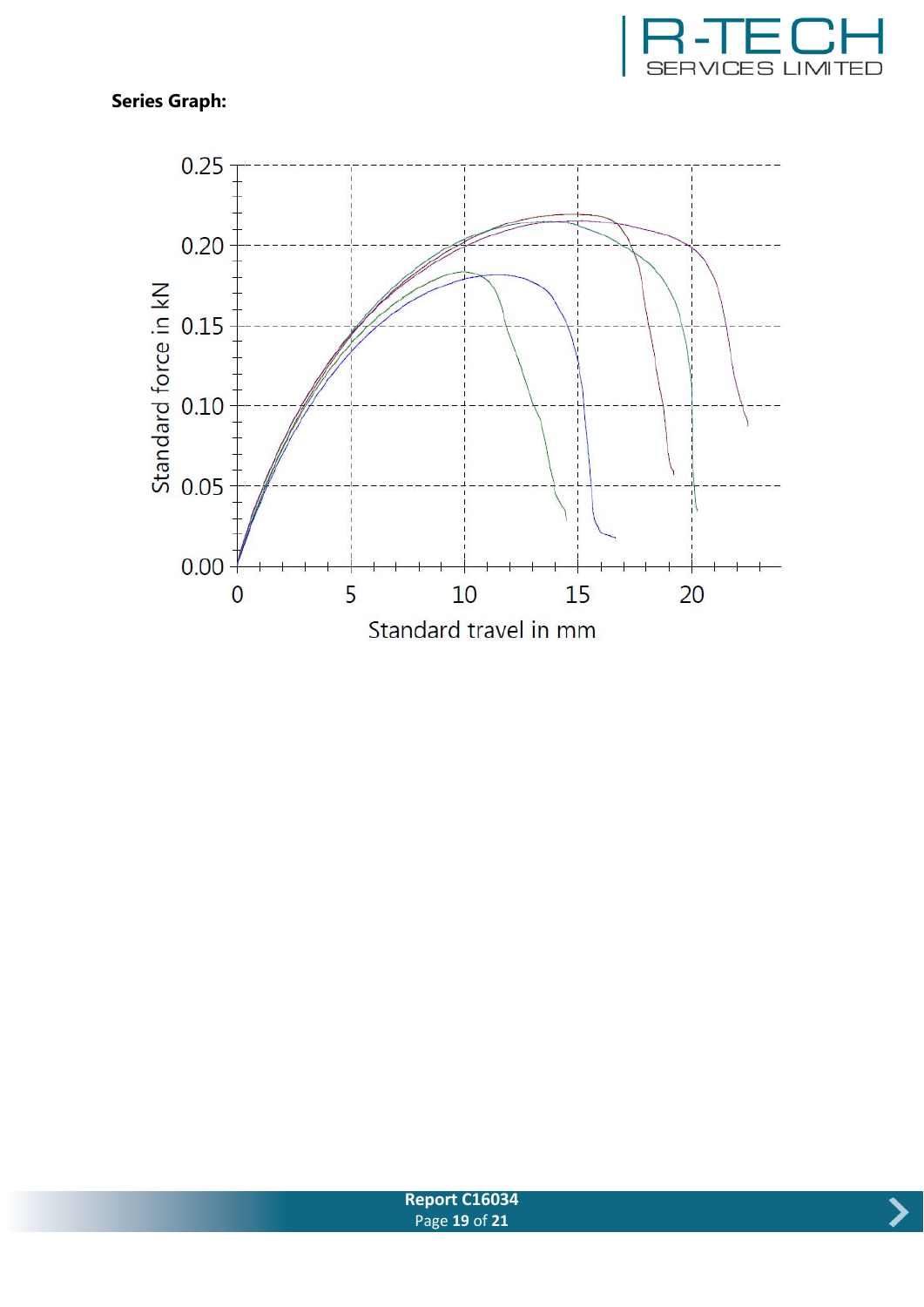



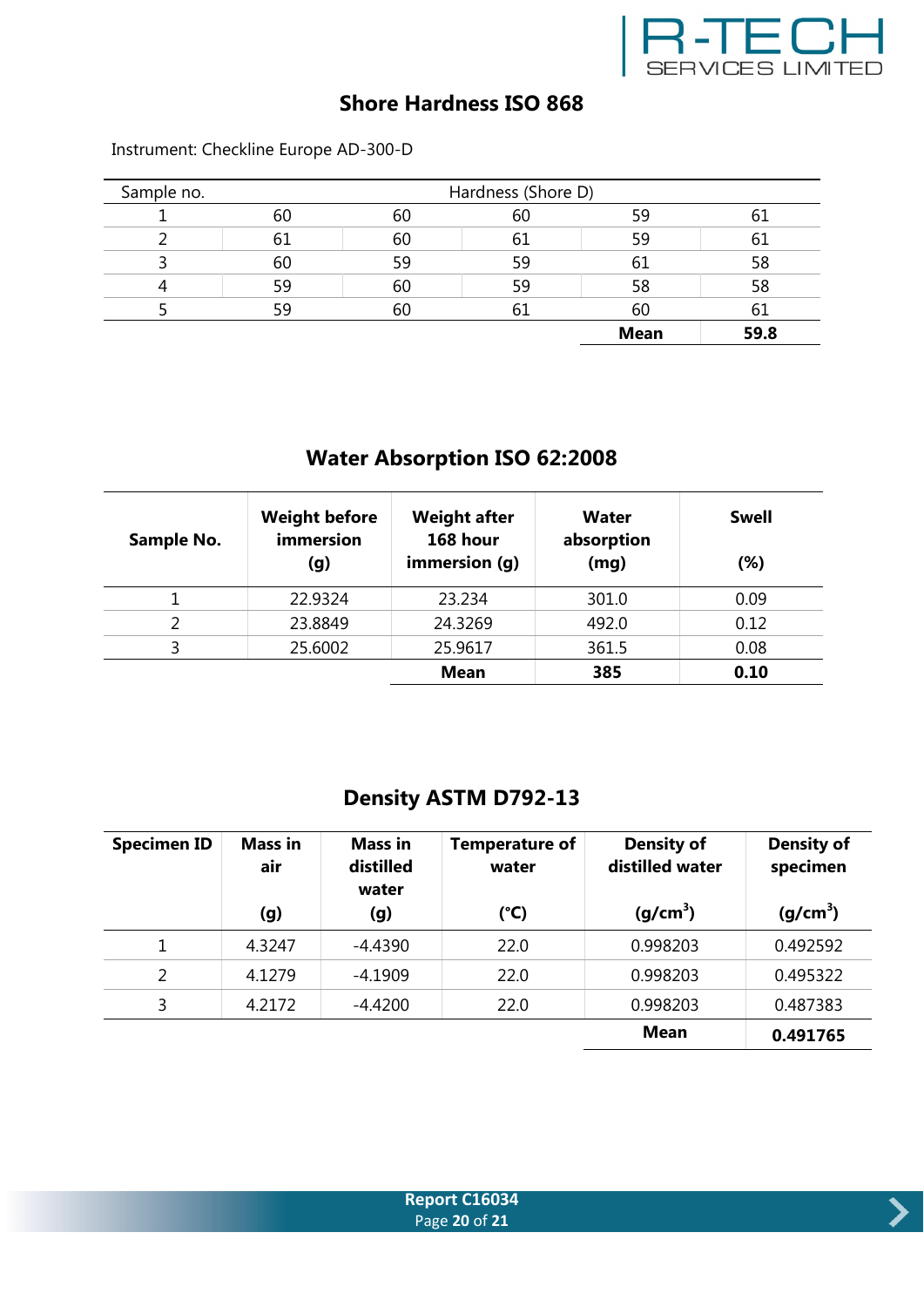

## **Shore Hardness ISO 868**

| Sample no. |    |    | Hardness (Shore D) |             |      |
|------------|----|----|--------------------|-------------|------|
|            | 60 | 60 | 60                 | 59          | 01   |
|            | 61 | 60 | 61                 | 59          | 61   |
|            | 60 | 59 | 59                 | 61          | 58   |
|            | 59 | 60 | 59                 | 58          | 58   |
|            | 59 | 60 | $b_{\rm L}$        | 60          | 61   |
|            |    |    |                    | <b>Mean</b> | 59.8 |

Instrument: Checkline Europe AD-300-D

## **Water Absorption ISO 62:2008**

| Sample No. | <b>Weight before</b><br>immersion<br>(g) | <b>Weight after</b><br>168 hour<br>immersion (g) | Water<br>absorption<br>(mg) | <b>Swell</b><br>$(\%)$ |
|------------|------------------------------------------|--------------------------------------------------|-----------------------------|------------------------|
|            | 22.9324                                  | 23.234                                           | 301.0                       | 0.09                   |
|            | 23.8849                                  | 24.3269                                          | 492.0                       | 0.12                   |
|            | 25.6002                                  | 25.9617                                          | 361.5                       | 0.08                   |
|            |                                          | <b>Mean</b>                                      | 385                         | 0.10                   |

## **Density ASTM D792-13**

| <b>Specimen ID</b> | <b>Mass in</b><br>air | Mass in<br>distilled<br>water | <b>Temperature of</b><br>water | <b>Density of</b><br>distilled water | <b>Density of</b><br>specimen |
|--------------------|-----------------------|-------------------------------|--------------------------------|--------------------------------------|-------------------------------|
|                    | (g)                   | (g)                           | (°C)                           | (g/cm <sup>3</sup> )                 | (g/cm <sup>3</sup> )          |
|                    | 4.3247                | $-4.4390$                     | 22.0                           | 0.998203                             | 0.492592                      |
| 2                  | 4.1279                | $-4.1909$                     | 22.0                           | 0.998203                             | 0.495322                      |
| 3                  | 4.2172                | $-4.4200$                     | 22.0                           | 0.998203                             | 0.487383                      |
|                    |                       |                               |                                | <b>Mean</b>                          | 0.491765                      |